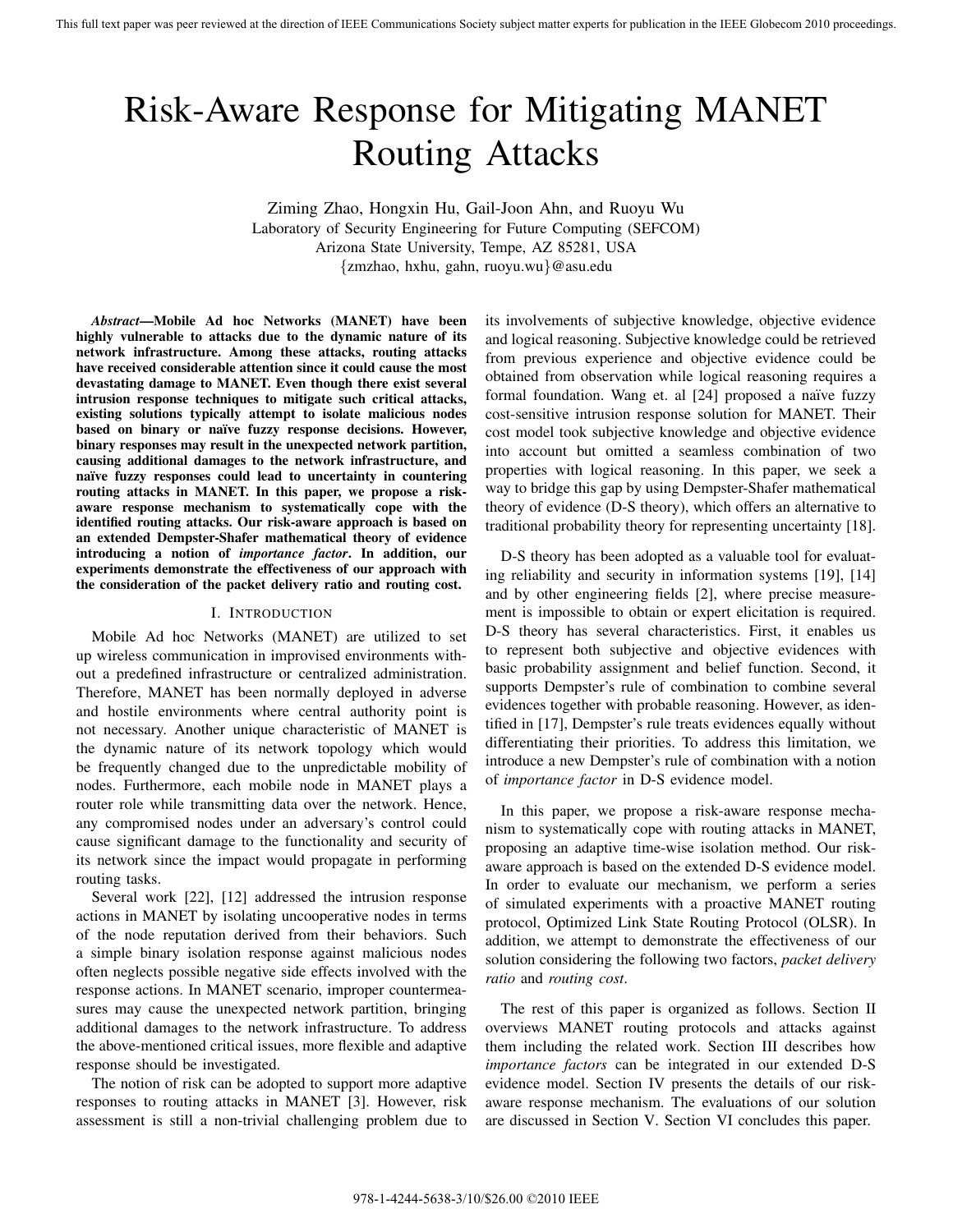# Risk-Aware Response for Mitigating MANET Routing Attacks

Ziming Zhao, Hongxin Hu, Gail-Joon Ahn, and Ruoyu Wu Laboratory of Security Engineering for Future Computing (SEFCOM) Arizona State University, Tempe, AZ 85281, USA {zmzhao, hxhu, gahn, ruoyu.wu}@asu.edu

*Abstract***—Mobile Ad hoc Networks (MANET) have been highly vulnerable to attacks due to the dynamic nature of its network infrastructure. Among these attacks, routing attacks have received considerable attention since it could cause the most devastating damage to MANET. Even though there exist several intrusion response techniques to mitigate such critical attacks, existing solutions typically attempt to isolate malicious nodes based on binary or na¨ıve fuzzy response decisions. However, binary responses may result in the unexpected network partition, causing additional damages to the network infrastructure, and na¨ıve fuzzy responses could lead to uncertainty in countering routing attacks in MANET. In this paper, we propose a riskaware response mechanism to systematically cope with the identified routing attacks. Our risk-aware approach is based on an extended Dempster-Shafer mathematical theory of evidence introducing a notion of** *importance factor***. In addition, our experiments demonstrate the effectiveness of our approach with the consideration of the packet delivery ratio and routing cost.**

### I. INTRODUCTION

Mobile Ad hoc Networks (MANET) are utilized to set up wireless communication in improvised environments without a predefined infrastructure or centralized administration. Therefore, MANET has been normally deployed in adverse and hostile environments where central authority point is not necessary. Another unique characteristic of MANET is the dynamic nature of its network topology which would be frequently changed due to the unpredictable mobility of nodes. Furthermore, each mobile node in MANET plays a router role while transmitting data over the network. Hence, any compromised nodes under an adversary's control could cause significant damage to the functionality and security of its network since the impact would propagate in performing routing tasks.

Several work [22], [12] addressed the intrusion response actions in MANET by isolating uncooperative nodes in terms of the node reputation derived from their behaviors. Such a simple binary isolation response against malicious nodes often neglects possible negative side effects involved with the response actions. In MANET scenario, improper countermeasures may cause the unexpected network partition, bringing additional damages to the network infrastructure. To address the above-mentioned critical issues, more flexible and adaptive response should be investigated.

The notion of risk can be adopted to support more adaptive responses to routing attacks in MANET [3]. However, risk assessment is still a non-trivial challenging problem due to its involvements of subjective knowledge, objective evidence and logical reasoning. Subjective knowledge could be retrieved from previous experience and objective evidence could be obtained from observation while logical reasoning requires a formal foundation. Wang et. al [24] proposed a naïve fuzzy cost-sensitive intrusion response solution for MANET. Their cost model took subjective knowledge and objective evidence into account but omitted a seamless combination of two properties with logical reasoning. In this paper, we seek a way to bridge this gap by using Dempster-Shafer mathematical theory of evidence (D-S theory), which offers an alternative to traditional probability theory for representing uncertainty [18].

D-S theory has been adopted as a valuable tool for evaluating reliability and security in information systems [19], [14] and by other engineering fields [2], where precise measurement is impossible to obtain or expert elicitation is required. D-S theory has several characteristics. First, it enables us to represent both subjective and objective evidences with basic probability assignment and belief function. Second, it supports Dempster's rule of combination to combine several evidences together with probable reasoning. However, as identified in [17], Dempster's rule treats evidences equally without differentiating their priorities. To address this limitation, we introduce a new Dempster's rule of combination with a notion of *importance factor* in D-S evidence model.

In this paper, we propose a risk-aware response mechanism to systematically cope with routing attacks in MANET, proposing an adaptive time-wise isolation method. Our riskaware approach is based on the extended D-S evidence model. In order to evaluate our mechanism, we perform a series of simulated experiments with a proactive MANET routing protocol, Optimized Link State Routing Protocol (OLSR). In addition, we attempt to demonstrate the effectiveness of our solution considering the following two factors, *packet delivery ratio* and *routing cost*.

The rest of this paper is organized as follows. Section II overviews MANET routing protocols and attacks against them including the related work. Section III describes how *importance factors* can be integrated in our extended D-S evidence model. Section IV presents the details of our riskaware response mechanism. The evaluations of our solution are discussed in Section V. Section VI concludes this paper.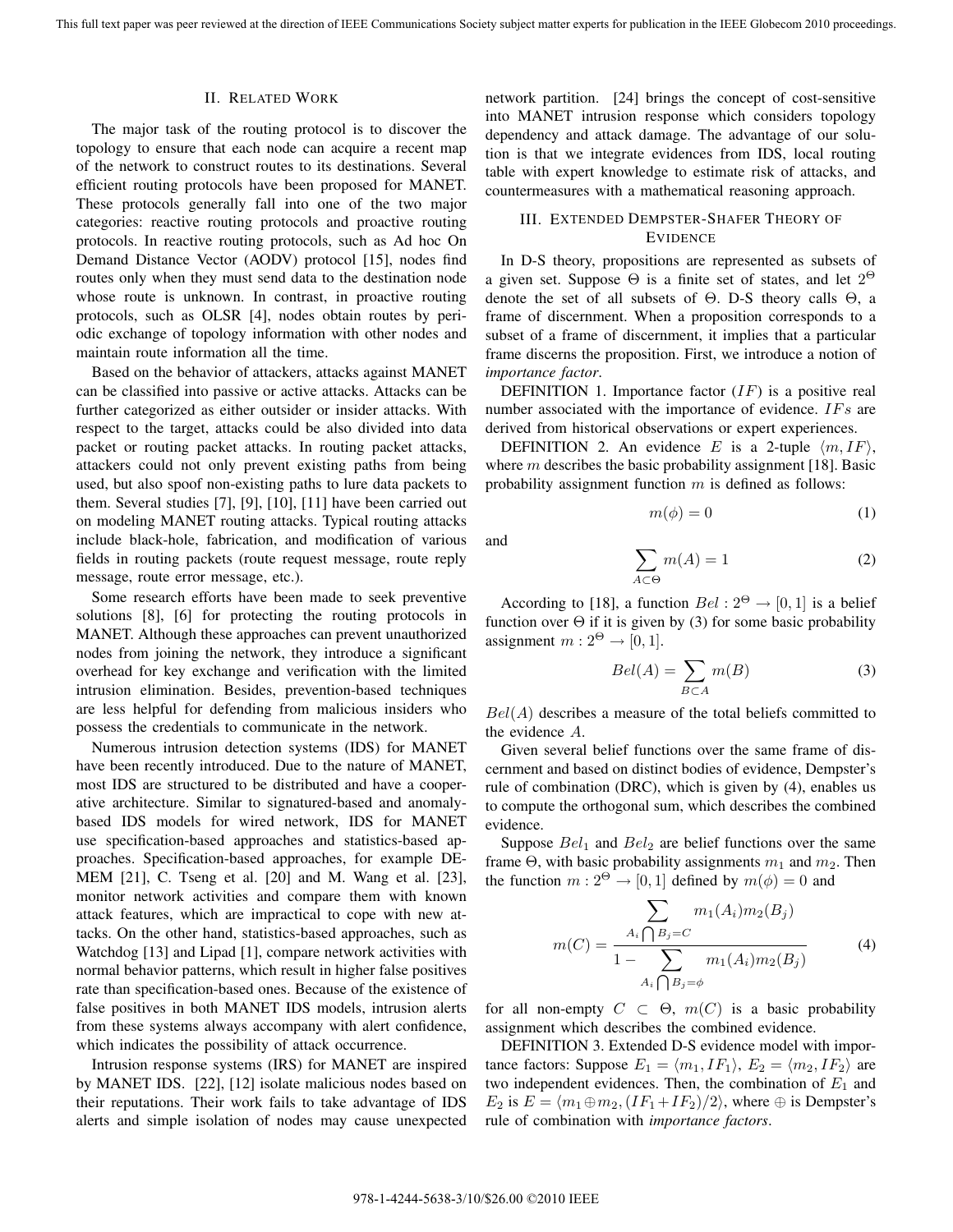and

#### II. RELATED WORK

The major task of the routing protocol is to discover the topology to ensure that each node can acquire a recent map of the network to construct routes to its destinations. Several efficient routing protocols have been proposed for MANET. These protocols generally fall into one of the two major categories: reactive routing protocols and proactive routing protocols. In reactive routing protocols, such as Ad hoc On Demand Distance Vector (AODV) protocol [15], nodes find routes only when they must send data to the destination node whose route is unknown. In contrast, in proactive routing protocols, such as OLSR [4], nodes obtain routes by periodic exchange of topology information with other nodes and maintain route information all the time.

Based on the behavior of attackers, attacks against MANET can be classified into passive or active attacks. Attacks can be further categorized as either outsider or insider attacks. With respect to the target, attacks could be also divided into data packet or routing packet attacks. In routing packet attacks, attackers could not only prevent existing paths from being used, but also spoof non-existing paths to lure data packets to them. Several studies [7], [9], [10], [11] have been carried out on modeling MANET routing attacks. Typical routing attacks include black-hole, fabrication, and modification of various fields in routing packets (route request message, route reply message, route error message, etc.).

Some research efforts have been made to seek preventive solutions [8], [6] for protecting the routing protocols in MANET. Although these approaches can prevent unauthorized nodes from joining the network, they introduce a significant overhead for key exchange and verification with the limited intrusion elimination. Besides, prevention-based techniques are less helpful for defending from malicious insiders who possess the credentials to communicate in the network.

Numerous intrusion detection systems (IDS) for MANET have been recently introduced. Due to the nature of MANET, most IDS are structured to be distributed and have a cooperative architecture. Similar to signatured-based and anomalybased IDS models for wired network, IDS for MANET use specification-based approaches and statistics-based approaches. Specification-based approaches, for example DE-MEM [21], C. Tseng et al. [20] and M. Wang et al. [23], monitor network activities and compare them with known attack features, which are impractical to cope with new attacks. On the other hand, statistics-based approaches, such as Watchdog [13] and Lipad [1], compare network activities with normal behavior patterns, which result in higher false positives rate than specification-based ones. Because of the existence of false positives in both MANET IDS models, intrusion alerts from these systems always accompany with alert confidence, which indicates the possibility of attack occurrence.

Intrusion response systems (IRS) for MANET are inspired by MANET IDS. [22], [12] isolate malicious nodes based on their reputations. Their work fails to take advantage of IDS alerts and simple isolation of nodes may cause unexpected network partition. [24] brings the concept of cost-sensitive into MANET intrusion response which considers topology dependency and attack damage. The advantage of our solution is that we integrate evidences from IDS, local routing table with expert knowledge to estimate risk of attacks, and countermeasures with a mathematical reasoning approach.

## III. EXTENDED DEMPSTER-SHAFER THEORY OF **EVIDENCE**

In D-S theory, propositions are represented as subsets of a given set. Suppose  $\Theta$  is a finite set of states, and let  $2^{\Theta}$ denote the set of all subsets of Θ. D-S theory calls Θ, a frame of discernment. When a proposition corresponds to a subset of a frame of discernment, it implies that a particular frame discerns the proposition. First, we introduce a notion of *importance factor*.

DEFINITION 1. Importance factor  $(IF)$  is a positive real number associated with the importance of evidence.  $IFs$  are derived from historical observations or expert experiences.

DEFINITION 2. An evidence E is a 2-tuple  $\langle m, IF \rangle$ , where  $m$  describes the basic probability assignment [18]. Basic probability assignment function  $m$  is defined as follows:

$$
m(\phi) = 0 \tag{1}
$$

$$
\sum_{A \subset \Theta} m(A) = 1 \tag{2}
$$

According to [18], a function  $Bel: 2^{\Theta} \rightarrow [0, 1]$  is a belief function over  $\Theta$  if it is given by (3) for some basic probability assignment  $m: 2^{\Theta} \rightarrow [0, 1].$ 

$$
Bel(A) = \sum_{B \subset A} m(B) \tag{3}
$$

 $Bel(A)$  describes a measure of the total beliefs committed to the evidence A.

Given several belief functions over the same frame of discernment and based on distinct bodies of evidence, Dempster's rule of combination (DRC), which is given by (4), enables us to compute the orthogonal sum, which describes the combined evidence.

Suppose  $Bel_1$  and  $Bel_2$  are belief functions over the same frame  $\Theta$ , with basic probability assignments  $m_1$  and  $m_2$ . Then the function  $m: 2^{\Theta} \rightarrow [0, 1]$  defined by  $m(\phi)=0$  and

$$
m(C) = \frac{\sum_{A_i \bigcap B_j = C} m_1(A_i) m_2(B_j)}{1 - \sum_{A_i \bigcap B_j = \phi} m_1(A_i) m_2(B_j)}
$$
(4)

for all non-empty  $C \subset \Theta$ ,  $m(C)$  is a basic probability assignment which describes the combined evidence.

DEFINITION 3. Extended D-S evidence model with importance factors: Suppose  $E_1 = \langle m_1, IF_1 \rangle$ ,  $E_2 = \langle m_2, IF_2 \rangle$  are two independent evidences. Then, the combination of  $E_1$  and  $E_2$  is  $E = \langle m_1 \oplus m_2, (IF_1 + IF_2)/2 \rangle$ , where  $\oplus$  is Dempster's rule of combination with *importance factors*.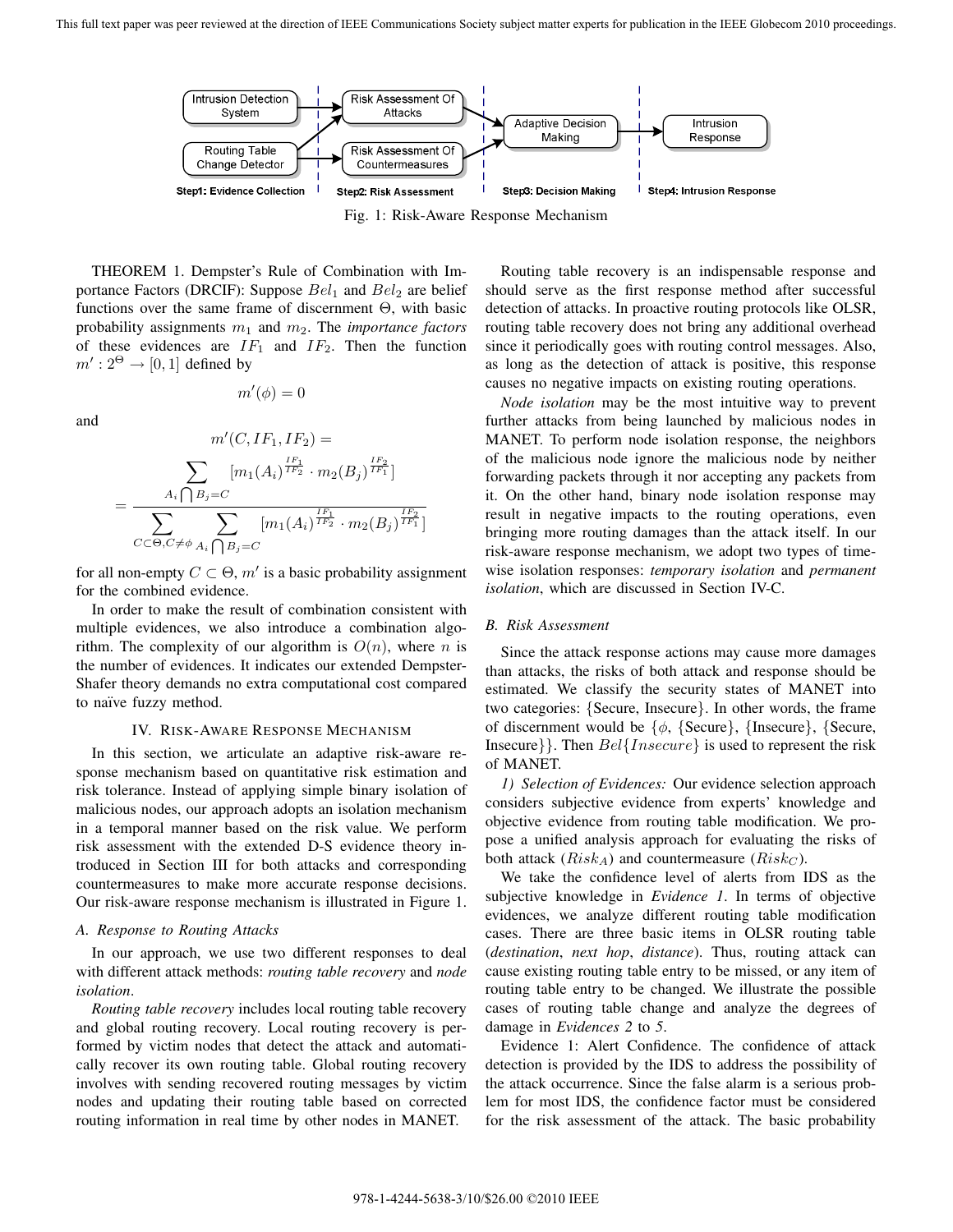

Fig. 1: Risk-Aware Response Mechanism

THEOREM 1. Dempster's Rule of Combination with Importance Factors (DRCIF): Suppose  $Bel<sub>1</sub>$  and  $Bel<sub>2</sub>$  are belief functions over the same frame of discernment Θ, with basic probability assignments  $m_1$  and  $m_2$ . The *importance factors* of these evidences are  $IF_1$  and  $IF_2$ . Then the function  $m': 2^\Theta \rightarrow [0,1]$  defined by

and

$$
m'(C,IF_1,IF_2) =
$$

 $m'(\phi)=0$ 

$$
= \frac{\sum_{A_i \bigcap B_j = C} [m_1(A_i)^{\frac{IF_1}{IF_2}} \cdot m_2(B_j)^{\frac{IF_2}{IF_1}}]}{\sum_{C \subset \Theta, C \neq \phi} \sum_{A_i \bigcap B_j = C} [m_1(A_i)^{\frac{IF_1}{IF_2}} \cdot m_2(B_j)^{\frac{IF_2}{IF_1}}]}
$$

for all non-empty  $C \subset \Theta$ ,  $m'$  is a basic probability assignment for the combined evidence.

In order to make the result of combination consistent with multiple evidences, we also introduce a combination algorithm. The complexity of our algorithm is  $O(n)$ , where n is the number of evidences. It indicates our extended Dempster-Shafer theory demands no extra computational cost compared to naïve fuzzy method.

#### IV. RISK-AWARE RESPONSE MECHANISM

In this section, we articulate an adaptive risk-aware response mechanism based on quantitative risk estimation and risk tolerance. Instead of applying simple binary isolation of malicious nodes, our approach adopts an isolation mechanism in a temporal manner based on the risk value. We perform risk assessment with the extended D-S evidence theory introduced in Section III for both attacks and corresponding countermeasures to make more accurate response decisions. Our risk-aware response mechanism is illustrated in Figure 1.

#### *A. Response to Routing Attacks*

In our approach, we use two different responses to deal with different attack methods: *routing table recovery* and *node isolation*.

*Routing table recovery* includes local routing table recovery and global routing recovery. Local routing recovery is performed by victim nodes that detect the attack and automatically recover its own routing table. Global routing recovery involves with sending recovered routing messages by victim nodes and updating their routing table based on corrected routing information in real time by other nodes in MANET.

Routing table recovery is an indispensable response and should serve as the first response method after successful detection of attacks. In proactive routing protocols like OLSR, routing table recovery does not bring any additional overhead since it periodically goes with routing control messages. Also, as long as the detection of attack is positive, this response causes no negative impacts on existing routing operations.

*Node isolation* may be the most intuitive way to prevent further attacks from being launched by malicious nodes in MANET. To perform node isolation response, the neighbors of the malicious node ignore the malicious node by neither forwarding packets through it nor accepting any packets from it. On the other hand, binary node isolation response may result in negative impacts to the routing operations, even bringing more routing damages than the attack itself. In our risk-aware response mechanism, we adopt two types of timewise isolation responses: *temporary isolation* and *permanent isolation*, which are discussed in Section IV-C.

#### *B. Risk Assessment*

Since the attack response actions may cause more damages than attacks, the risks of both attack and response should be estimated. We classify the security states of MANET into two categories: {Secure, Insecure}. In other words, the frame of discernment would be  $\{\phi, \{\text{Secure}\}\}\$ ,  $\{\text{Secure}\}\$ Insecure}}. Then  $Bel\{Insecure\}$  is used to represent the risk of MANET.

*1) Selection of Evidences:* Our evidence selection approach considers subjective evidence from experts' knowledge and objective evidence from routing table modification. We propose a unified analysis approach for evaluating the risks of both attack  $(Risk_A)$  and countermeasure  $(Risk_C)$ .

We take the confidence level of alerts from IDS as the subjective knowledge in *Evidence 1*. In terms of objective evidences, we analyze different routing table modification cases. There are three basic items in OLSR routing table (*destination*, *next hop*, *distance*). Thus, routing attack can cause existing routing table entry to be missed, or any item of routing table entry to be changed. We illustrate the possible cases of routing table change and analyze the degrees of damage in *Evidences 2* to *5*.

Evidence 1: Alert Confidence. The confidence of attack detection is provided by the IDS to address the possibility of the attack occurrence. Since the false alarm is a serious problem for most IDS, the confidence factor must be considered for the risk assessment of the attack. The basic probability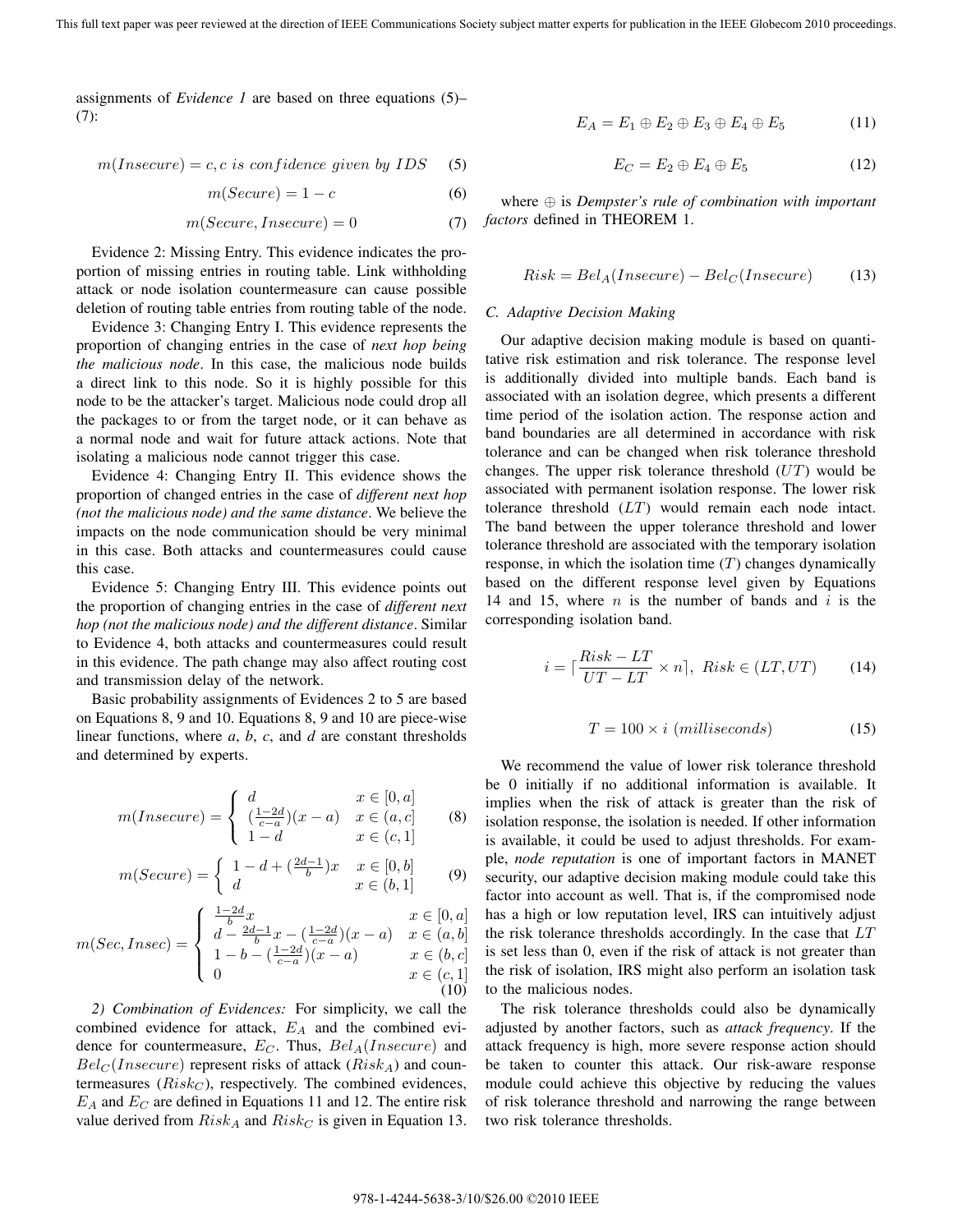assignments of *Evidence 1* are based on three equations (5)– (7):

$$
m(Insecure) = c, c \text{ is confidence given by } IDs
$$
 (5)

$$
m(Secure) = 1 - c \tag{6}
$$

$$
m(Secure, Insecure) = 0 \tag{7}
$$

Evidence 2: Missing Entry. This evidence indicates the proportion of missing entries in routing table. Link withholding attack or node isolation countermeasure can cause possible deletion of routing table entries from routing table of the node.

Evidence 3: Changing Entry I. This evidence represents the proportion of changing entries in the case of *next hop being the malicious node*. In this case, the malicious node builds a direct link to this node. So it is highly possible for this node to be the attacker's target. Malicious node could drop all the packages to or from the target node, or it can behave as a normal node and wait for future attack actions. Note that isolating a malicious node cannot trigger this case.

Evidence 4: Changing Entry II. This evidence shows the proportion of changed entries in the case of *different next hop (not the malicious node) and the same distance*. We believe the impacts on the node communication should be very minimal in this case. Both attacks and countermeasures could cause this case.

Evidence 5: Changing Entry III. This evidence points out the proportion of changing entries in the case of *different next hop (not the malicious node) and the different distance*. Similar to Evidence 4, both attacks and countermeasures could result in this evidence. The path change may also affect routing cost and transmission delay of the network.

Basic probability assignments of Evidences 2 to 5 are based on Equations 8, 9 and 10. Equations 8, 9 and 10 are piece-wise linear functions, where *a*, *b*, *c*, and *d* are constant thresholds and determined by experts.

$$
m(Insecure) = \begin{cases} d & x \in [0, a] \\ \left(\frac{1-2d}{c-a}\right)(x-a) & x \in (a, c] \\ 1-d & x \in (c, 1] \end{cases}
$$
 (8)

$$
m(Secure) = \begin{cases} 1 - d + \left(\frac{2d - 1}{b}\right)x & x \in [0, b] \\ d & x \in (b, 1] \end{cases}
$$
(9)

$$
m(Sec, Insec) = \begin{cases} \frac{1-2d}{b}x & x \in [0, a] \\ d - \frac{2d-1}{b}x - (\frac{1-2d}{c-a})(x-a) & x \in (a, b] \\ 1 - b - (\frac{1-2d}{c-a})(x-a) & x \in (b, c] \\ 0 & x \in (c, 1] \end{cases}
$$
(10)

*2) Combination of Evidences:* For simplicity, we call the combined evidence for attack,  $E_A$  and the combined evidence for countermeasure,  $E_C$ . Thus,  $Bel<sub>A</sub>(Insecure)$  and  $Bel<sub>C</sub>(Insecure)$  represent risks of attack  $(Risk<sub>A</sub>)$  and countermeasures  $(Risk<sub>C</sub>)$ , respectively. The combined evidences,  $E_A$  and  $E_C$  are defined in Equations 11 and 12. The entire risk value derived from  $Risk_A$  and  $Risk_C$  is given in Equation 13.

$$
E_A = E_1 \oplus E_2 \oplus E_3 \oplus E_4 \oplus E_5 \tag{11}
$$

$$
E_C = E_2 \oplus E_4 \oplus E_5 \tag{12}
$$

where ⊕ is *Dempster's rule of combination with important factors* defined in THEOREM 1.

$$
Risk = Bel_A(Insecure) - Bel_C(Insecure)
$$
 (13)

#### *C. Adaptive Decision Making*

Our adaptive decision making module is based on quantitative risk estimation and risk tolerance. The response level is additionally divided into multiple bands. Each band is associated with an isolation degree, which presents a different time period of the isolation action. The response action and band boundaries are all determined in accordance with risk tolerance and can be changed when risk tolerance threshold changes. The upper risk tolerance threshold  $(UT)$  would be associated with permanent isolation response. The lower risk tolerance threshold (LT) would remain each node intact. The band between the upper tolerance threshold and lower tolerance threshold are associated with the temporary isolation response, in which the isolation time  $(T)$  changes dynamically based on the different response level given by Equations 14 and 15, where  $n$  is the number of bands and  $i$  is the corresponding isolation band.

$$
i = \lceil \frac{Risk - LT}{UT - LT} \times n \rceil, Risk \in (LT, UT) \tag{14}
$$

$$
T = 100 \times i \ (millisecons) \tag{15}
$$

We recommend the value of lower risk tolerance threshold be 0 initially if no additional information is available. It implies when the risk of attack is greater than the risk of isolation response, the isolation is needed. If other information is available, it could be used to adjust thresholds. For example, *node reputation* is one of important factors in MANET security, our adaptive decision making module could take this factor into account as well. That is, if the compromised node has a high or low reputation level, IRS can intuitively adjust the risk tolerance thresholds accordingly. In the case that LT is set less than 0, even if the risk of attack is not greater than the risk of isolation, IRS might also perform an isolation task to the malicious nodes.

The risk tolerance thresholds could also be dynamically adjusted by another factors, such as *attack frequency*. If the attack frequency is high, more severe response action should be taken to counter this attack. Our risk-aware response module could achieve this objective by reducing the values of risk tolerance threshold and narrowing the range between two risk tolerance thresholds.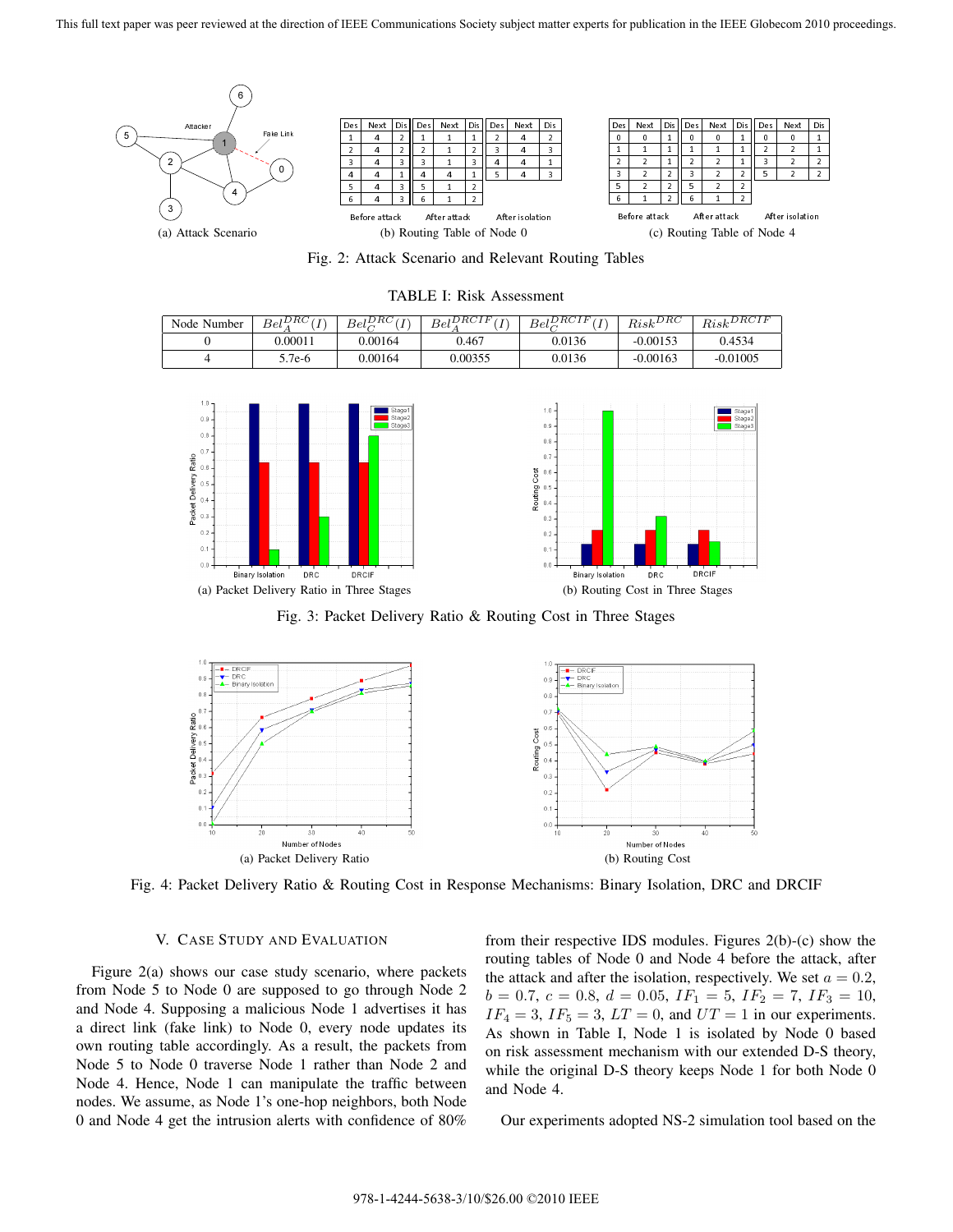

Fig. 2: Attack Scenario and Relevant Routing Tables

TABLE I: Risk Assessment

| Node Number | $Bel$ <sup><math>DRC</math></sup> | $Bel_{\alpha}^{DRC}$<br>$\overline{ }$ | $Bel^{DRCIF}$ | $Bel_{\alpha}^{DRCIF}$ | $_{Risk}$ DRC | $Risk^{DRCIF}$ |
|-------------|-----------------------------------|----------------------------------------|---------------|------------------------|---------------|----------------|
|             | 0.00011                           | 0.00164                                | 0.467         | 9.0136                 | $-0.00153$    | 0.4534         |
|             | $5.7e-6$                          | 0.00164                                | 0.00355       | 0.0136                 | $-0.00163$    | $-0.01005$     |



Fig. 3: Packet Delivery Ratio & Routing Cost in Three Stages



Fig. 4: Packet Delivery Ratio & Routing Cost in Response Mechanisms: Binary Isolation, DRC and DRCIF

### V. CASE STUDY AND EVALUATION

Figure 2(a) shows our case study scenario, where packets from Node 5 to Node 0 are supposed to go through Node 2 and Node 4. Supposing a malicious Node 1 advertises it has a direct link (fake link) to Node 0, every node updates its own routing table accordingly. As a result, the packets from Node 5 to Node 0 traverse Node 1 rather than Node 2 and Node 4. Hence, Node 1 can manipulate the traffic between nodes. We assume, as Node 1's one-hop neighbors, both Node 0 and Node 4 get the intrusion alerts with confidence of 80%

from their respective IDS modules. Figures 2(b)-(c) show the routing tables of Node 0 and Node 4 before the attack, after the attack and after the isolation, respectively. We set  $a = 0.2$ ,  $b = 0.7, c = 0.8, d = 0.05, IF_1 = 5, IF_2 = 7, IF_3 = 10,$  $IF_4 = 3$ ,  $IF_5 = 3$ ,  $LT = 0$ , and  $UT = 1$  in our experiments. As shown in Table I, Node 1 is isolated by Node 0 based on risk assessment mechanism with our extended D-S theory, while the original D-S theory keeps Node 1 for both Node 0 and Node 4.

**DRC** 

DRCIE

Our experiments adopted NS-2 simulation tool based on the